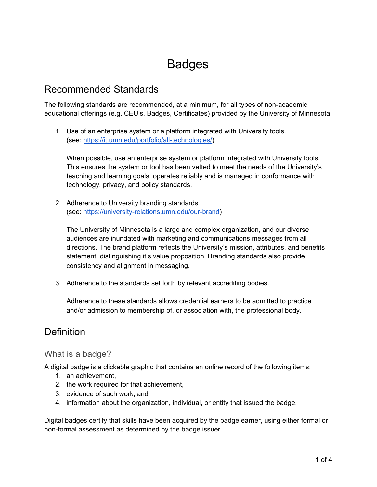# Badges

### Recommended Standards

The following standards are recommended, at a minimum, for all types of non-academic educational offerings (e.g. CEU's, Badges, Certificates) provided by the University of Minnesota:

1. Use of an enterprise system or a platform integrated with University tools. (see: <https://it.umn.edu/portfolio/all-technologies/>)

When possible, use an enterprise system or platform integrated with University tools. This ensures the system or tool has been vetted to meet the needs of the University's teaching and learning goals, operates reliably and is managed in conformance with technology, privacy, and policy standards.

2. Adherence to University branding standards (see: [https://university-relations.umn.edu/our-brand\)](https://university-relations.umn.edu/our-brand)

The University of Minnesota is a large and complex organization, and our diverse audiences are inundated with marketing and communications messages from all directions. The brand platform reflects the University's mission, attributes, and benefits statement, distinguishing it's value proposition. Branding standards also provide consistency and alignment in messaging.

3. Adherence to the standards set forth by relevant accrediting bodies.

Adherence to these standards allows credential earners to be admitted to practice and/or admission to membership of, or association with, the professional body.

## **Definition**

#### What is a badge?

A digital badge is a clickable graphic that contains an online record of the following items:

- 1. an achievement,
- 2. the work required for that achievement,
- 3. evidence of such work, and
- 4. information about the organization, individual, or entity that issued the badge.

Digital badges certify that skills have been acquired by the badge earner, using either formal or non-formal assessment as determined by the badge issuer.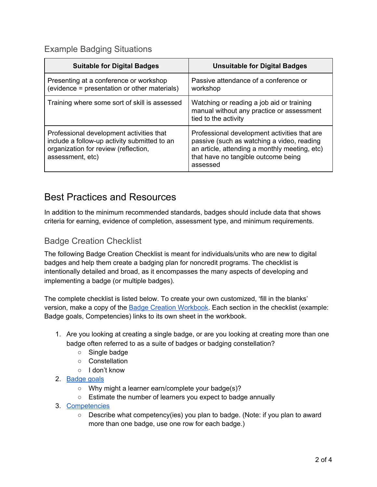### Example Badging Situations

| <b>Suitable for Digital Badges</b>                                                                                                                   | <b>Unsuitable for Digital Badges</b>                                                                                                                                                           |
|------------------------------------------------------------------------------------------------------------------------------------------------------|------------------------------------------------------------------------------------------------------------------------------------------------------------------------------------------------|
| Presenting at a conference or workshop<br>(evidence = presentation or other materials)                                                               | Passive attendance of a conference or<br>workshop                                                                                                                                              |
| Training where some sort of skill is assessed                                                                                                        | Watching or reading a job aid or training<br>manual without any practice or assessment<br>tied to the activity                                                                                 |
| Professional development activities that<br>include a follow-up activity submitted to an<br>organization for review (reflection,<br>assessment, etc) | Professional development activities that are<br>passive (such as watching a video, reading<br>an article, attending a monthly meeting, etc)<br>that have no tangible outcome being<br>assessed |

## Best Practices and Resources

In addition to the minimum recommended standards, badges should include data that shows criteria for earning, evidence of completion, assessment type, and minimum requirements.

### Badge Creation Checklist

The following Badge Creation Checklist is meant for individuals/units who are new to digital badges and help them create a badging plan for noncredit programs. The checklist is intentionally detailed and broad, as it encompasses the many aspects of developing and implementing a badge (or multiple badges).

The complete checklist is listed below. To create your own customized, 'fill in the blanks' version, make a copy of the **Badge Creation [Workbook](https://docs.google.com/spreadsheets/d/1ymKAB9dd5gjClO6PIdojAjA3_fQLavN-qfvu1Xdy6UY/edit#gid=111156456)**. Each section in the checklist (example: Badge goals, Competencies) links to its own sheet in the workbook.

- 1. Are you looking at creating a single badge, or are you looking at creating more than one badge often referred to as a suite of badges or badging constellation?
	- Single badge
	- Constellation
	- I don't know
- 2. [Badge](https://docs.google.com/spreadsheets/d/1ymKAB9dd5gjClO6PIdojAjA3_fQLavN-qfvu1Xdy6UY/edit#gid=111156456) goals
	- Why might a learner earn/complete your badge(s)?
	- Estimate the number of learners you expect to badge annually
- 3. [Competencies](https://docs.google.com/spreadsheets/d/1ymKAB9dd5gjClO6PIdojAjA3_fQLavN-qfvu1Xdy6UY/edit#gid=1565403527)
	- Describe what competency(ies) you plan to badge. (Note: if you plan to award more than one badge, use one row for each badge.)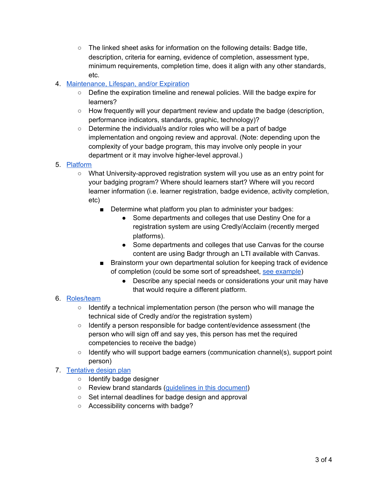- The linked sheet asks for information on the following details: Badge title, description, criteria for earning, evidence of completion, assessment type, minimum requirements, completion time, does it align with any other standards, etc.
- 4. [Maintenance,](https://docs.google.com/spreadsheets/d/1ymKAB9dd5gjClO6PIdojAjA3_fQLavN-qfvu1Xdy6UY/edit#gid=1961989736) Lifespan, and/or Expiration
	- Define the expiration timeline and renewal policies. Will the badge expire for learners?
	- How frequently will your department review and update the badge (description, performance indicators, standards, graphic, technology)?
	- Determine the individual/s and/or roles who will be a part of badge implementation and ongoing review and approval. (Note: depending upon the complexity of your badge program, this may involve only people in your department or it may involve higher-level approval.)
- 5. [Platform](https://docs.google.com/spreadsheets/d/1ymKAB9dd5gjClO6PIdojAjA3_fQLavN-qfvu1Xdy6UY/edit#gid=1596804844)
	- What University-approved registration system will you use as an entry point for your badging program? Where should learners start? Where will you record learner information (i.e. learner registration, badge evidence, activity completion, etc)
		- Determine what platform you plan to administer your badges:
			- Some departments and colleges that use Destiny One for a registration system are using Credly/Acclaim (recently merged platforms).
			- Some departments and colleges that use Canvas for the course content are using Badgr through an LTI available with Canvas.
		- Brainstorm your own departmental solution for keeping track of evidence of completion (could be some sort of spreadsheet, see [example](https://docs.google.com/spreadsheets/d/1fIMBwc1rqEHFeyHAaKQK-oOeaHARrAuJ8lu2JkIMy_o/edit#gid=951313086))
			- Describe any special needs or considerations your unit may have that would require a different platform.

#### 6. [Roles/team](https://docs.google.com/spreadsheets/d/1ymKAB9dd5gjClO6PIdojAjA3_fQLavN-qfvu1Xdy6UY/edit#gid=88650588)

- Identify a technical implementation person (the person who will manage the technical side of Credly and/or the registration system)
- Identify a person responsible for badge content/evidence assessment (the person who will sign off and say yes, this person has met the required competencies to receive the badge)
- Identify who will support badge earners (communication channel(s), support point person)

#### 7. [Tentative](https://docs.google.com/spreadsheets/d/1ymKAB9dd5gjClO6PIdojAjA3_fQLavN-qfvu1Xdy6UY/edit#gid=1672642448) design plan

- Identify badge designer
- Review brand standards [\(guidelines](https://docs.google.com/document/d/1ohTsUHjAoKs-vwNSDPpuN9CGsGEK7BcdktAdXx9LQoE/edit?usp=sharing) in this document)
- Set internal deadlines for badge design and approval
- Accessibility concerns with badge?